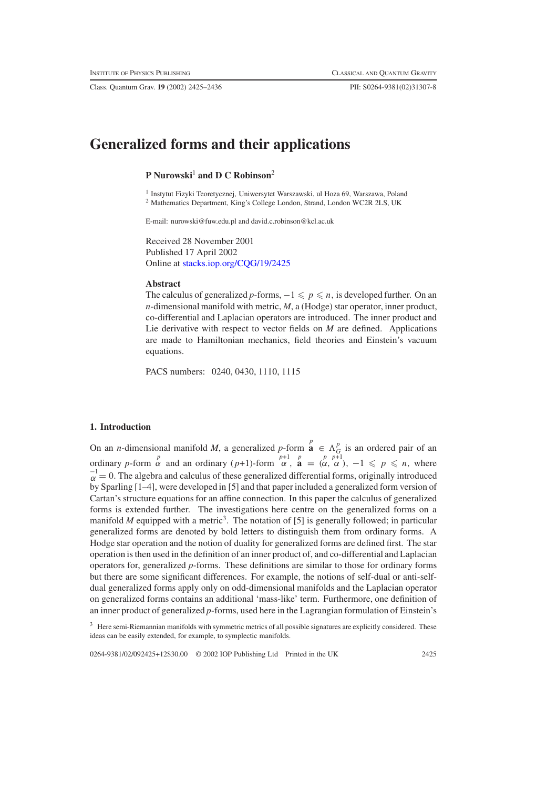Class. Quantum Grav. **19** (2002) 2425–2436 PII: S0264-9381(02)31307-8

# **Generalized forms and their applications**

# **P Nurowski**<sup>1</sup> **and D C Robinson**<sup>2</sup>

<sup>1</sup> Instytut Fizyki Teoretycznej, Uniwersytet Warszawski, ul Hoza 69, Warszawa, Poland <sup>2</sup> Mathematics Department, King's College London, Strand, London WC2R 2LS, UK

E-mail: nurowski@fuw.edu.pl and david.c.robinson@kcl.ac.uk

Received 28 November 2001 Published 17 April 2002 Online at [stacks.iop.org/CQG/19/2425](http://stacks.iop.org/cq/19/2425)

#### **Abstract**

The calculus of generalized *p*-forms,  $-1 \leq p \leq n$ , is developed further. On an *n*-dimensional manifold with metric, *M*, a (Hodge) star operator, inner product, co-differential and Laplacian operators are introduced. The inner product and Lie derivative with respect to vector fields on *M* are defined. Applications are made to Hamiltonian mechanics, field theories and Einstein's vacuum equations.

PACS numbers: 0240, 0430, 1110, 1115

## **1. Introduction**

On an *n*-dimensional manifold *M*, a generalized *p*-form  $\mathbf{a}^p \in \Lambda_G^p$  is an ordered pair of an ordinary *p*-form  $\alpha$  and an ordinary (*p*+1)-form  $\alpha$ ,  $\mathbf{a} = (\alpha, \alpha)$ ,  $-1 \leq p \leq n$ , where  $\alpha^{-1} = 0$ . The algebra and calculus of these generalized differential forms, originally introduced by Sparling [1–4], were developed in [5] and that paper included a generalized form version of Cartan's structure equations for an affine connection. In this paper the calculus of generalized forms is extended further. The investigations here centre on the generalized forms on a manifold  $M$  equipped with a metric<sup>3</sup>. The notation of [5] is generally followed; in particular generalized forms are denoted by bold letters to distinguish them from ordinary forms. A Hodge star operation and the notion of duality for generalized forms are defined first. The star operation is then used in the definition of an inner product of, and co-differential and Laplacian operators for, generalized *p*-forms. These definitions are similar to those for ordinary forms but there are some significant differences. For example, the notions of self-dual or anti-selfdual generalized forms apply only on odd-dimensional manifolds and the Laplacian operator on generalized forms contains an additional 'mass-like' term. Furthermore, one definition of an inner product of generalized *p*-forms, used here in the Lagrangian formulation of Einstein's

<sup>&</sup>lt;sup>3</sup> Here semi-Riemannian manifolds with symmetric metrics of all possible signatures are explicitly considered. These ideas can be easily extended, for example, to symplectic manifolds.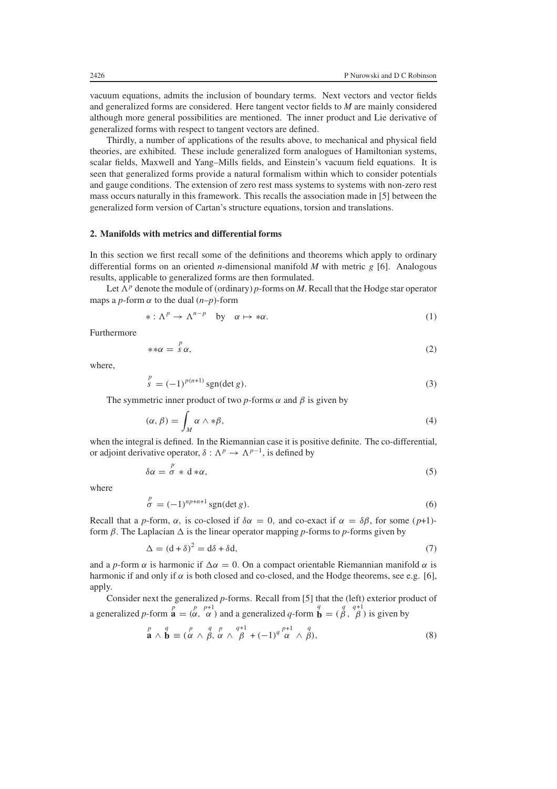vacuum equations, admits the inclusion of boundary terms. Next vectors and vector fields and generalized forms are considered. Here tangent vector fields to *M* are mainly considered although more general possibilities are mentioned. The inner product and Lie derivative of generalized forms with respect to tangent vectors are defined.

Thirdly, a number of applications of the results above, to mechanical and physical field theories, are exhibited. These include generalized form analogues of Hamiltonian systems, scalar fields, Maxwell and Yang–Mills fields, and Einstein's vacuum field equations. It is seen that generalized forms provide a natural formalism within which to consider potentials and gauge conditions. The extension of zero rest mass systems to systems with non-zero rest mass occurs naturally in this framework. This recalls the association made in [5] between the generalized form version of Cartan's structure equations, torsion and translations.

## **2. Manifolds with metrics and differential forms**

In this section we first recall some of the definitions and theorems which apply to ordinary differential forms on an oriented *n*-dimensional manifold *M* with metric g [6]. Analogous results, applicable to generalized forms are then formulated.

Let  $\Lambda^p$  denote the module of (ordinary) *p*-forms on *M*. Recall that the Hodge star operator maps a *p*-form  $\alpha$  to the dual  $(n-p)$ -form

$$
* : \Lambda^p \to \Lambda^{n-p} \quad \text{by} \quad \alpha \mapsto *\alpha. \tag{1}
$$

Furthermore

$$
**\alpha = \begin{array}{c} P \\ S \alpha, \end{array} \tag{2}
$$

<span id="page-1-0"></span>where,

$$
\int_{s}^{p} = (-1)^{p(n+1)} \operatorname{sgn}(\det g). \tag{3}
$$

The symmetric inner product of two  $p$ -forms  $\alpha$  and  $\beta$  is given by

$$
(\alpha, \beta) = \int_M \alpha \wedge * \beta,\tag{4}
$$

when the integral is defined. In the Riemannian case it is positive definite. The co-differential, or adjoint derivative operator,  $\delta : \Lambda^p \to \Lambda^{p-1}$ , is defined by

$$
\delta \alpha = \frac{p}{\sigma} * d * \alpha, \tag{5}
$$

where

$$
\stackrel{p}{\sigma} = (-1)^{np+n+1} \operatorname{sgn}(\det g). \tag{6}
$$

Recall that a *p*-form,  $\alpha$ , is co-closed if  $\delta \alpha = 0$ , and co-exact if  $\alpha = \delta \beta$ , for some (*p*+1)form  $\beta$ . The Laplacian  $\Delta$  is the linear operator mapping *p*-forms to *p*-forms given by

$$
\Delta = (d + \delta)^2 = d\delta + \delta d,\tag{7}
$$

and a *p*-form  $\alpha$  is harmonic if  $\Delta \alpha = 0$ . On a compact orientable Riemannian manifold  $\alpha$  is harmonic if and only if  $\alpha$  is both closed and co-closed, and the Hodge theorems, see e.g. [6], apply.

Consider next the generalized *p*-forms. Recall from [5] that the (left) exterior product of a generalized *p*-form  $\mathbf{a} = \begin{pmatrix} p & p+1 \\ \alpha & \alpha \end{pmatrix}$  and a generalized *q*-form  $\mathbf{b} = \begin{pmatrix} q & q+1 \\ \beta & \beta \end{pmatrix}$  is given by

$$
\stackrel{p}{\mathbf{a}} \wedge \stackrel{q}{\mathbf{b}} \equiv \stackrel{p}{(\alpha \wedge \beta, \alpha \wedge \beta}^q \stackrel{p}{\alpha} \wedge \stackrel{q+1}{\beta} + (-1)^q \stackrel{p+1}{\alpha} \wedge \stackrel{q}{\beta},\tag{8}
$$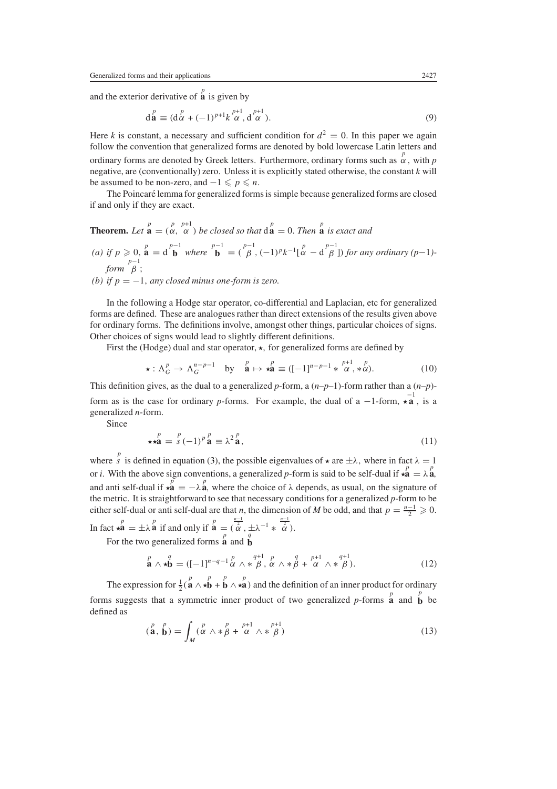and the exterior derivative of  $\overrightarrow{a}$  is given by

$$
\mathbf{d}_{\mathbf{a}}^p \equiv (\mathbf{d}_{\alpha}^p + (-1)^{p+1} k_{\alpha}^{p+1}, \mathbf{d}_{\alpha}^{p+1}).
$$
\n(9)

Here *k* is constant, a necessary and sufficient condition for  $d^2 = 0$ . In this paper we again follow the convention that generalized forms are denoted by bold lowercase Latin letters and ordinary forms are denoted by Greek letters. Furthermore, ordinary forms such as  $\alpha^p$ , with *p* negative, are (conventionally) zero. Unless it is explicitly stated otherwise, the constant *k* will be assumed to be non-zero, and  $-1 \leqslant p \leqslant n$ .

The Poincaré lemma for generalized forms is simple because generalized forms are closed if and only if they are exact.

**Theorem.** Let 
$$
\mathbf{a} = (\alpha, \alpha)
$$
 be closed so that  $\mathbf{d}^p = 0$ . Then  $\mathbf{a}$  is exact and

*(a) if*  $p \ge 0$ ,  $\mathbf{a} = d \mathbf{b}^{p-1}$  *where*  $\mathbf{b} = (\beta, (-1)^p k^{-1} [\alpha - d \beta] )$  *for any ordinary (p-1)* $form \stackrel{p-1}{\beta}$ ;

*(b) if*  $p = -1$ *, any closed minus one-form is zero.* 

In the following a Hodge star operator, co-differential and Laplacian, etc for generalized forms are defined. These are analogues rather than direct extensions of the results given above for ordinary forms. The definitions involve, amongst other things, particular choices of signs. Other choices of signs would lead to slightly different definitions.

First the (Hodge) dual and star operator,  $\star$ , for generalized forms are defined by

$$
\star : \Lambda_G^p \to \Lambda_G^{n-p-1} \quad \text{by} \quad \stackrel{p}{\mathbf{a}} \mapsto \star \stackrel{p}{\mathbf{a}} \equiv ([-1]^{n-p-1} \ast \stackrel{p+1}{\alpha}, \stackrel{p}{\alpha}). \tag{10}
$$

This definition gives, as the dual to a generalized p-form, a  $(n-p-1)$ -form rather than a  $(n-p)$ form as is the case for ordinary *p*-forms. For example, the dual of a −1-form,  $\star$ **a**, is a generalized *n*-form.

Since

$$
\star \star \mathbf{a}^p = s^p (-1)^p \mathbf{a} \equiv \lambda^2 \mathbf{a}, \tag{11}
$$

where  $\int_{a}^{p}$  is defined in equation [\(3\)](#page-1-0), the possible eigenvalues of  $\star$  are  $\pm \lambda$ , where in fact  $\lambda = 1$ or *i*. With the above sign conventions, a generalized *p*-form is said to be self-dual if  $\star \hat{\mathbf{a}} = \lambda \hat{\mathbf{a}}$ , and anti self-dual if  $\overrightarrow{aa} = -\lambda \overrightarrow{a}$ , where the choice of  $\lambda$  depends, as usual, on the signature of the metric. It is straightforward to see that necessary conditions for a generalized *p*-form to be either self-dual or anti self-dual are that *n*, the dimension of *M* be odd, and that  $p = \frac{n-1}{2} \ge 0$ .

In fact  $\star \mathbf{a} = \pm \lambda \mathbf{a}$  if and only if  $\mathbf{a} = (\overline{\mathbf{a}}^p, \pm \lambda^{-1} * \overline{\mathbf{a}}^{\frac{n-1}{2}})$ . For the two generalized forms  $\overrightarrow{\mathbf{a}}$  and  $\overrightarrow{\mathbf{b}}$ 

$$
\stackrel{p}{\mathbf{a}} \wedge \star \stackrel{q}{\mathbf{b}} = ([-1]^{n-q-1} \stackrel{p}{\alpha} \wedge \star \stackrel{q+1}{\beta}, \stackrel{p}{\alpha} \wedge \star \stackrel{q}{\beta} + \stackrel{p+1}{\alpha} \wedge \star \stackrel{q+1}{\beta}). \tag{12}
$$

The expression for  $\frac{1}{2}$  ( $\stackrel{p}{\mathbf{a}} \wedge \stackrel{p}{\star} \stackrel{p}{\mathbf{b}} + \stackrel{p}{\mathbf{b}} \wedge \stackrel{p}{\star} \stackrel{p}{\mathbf{a}}$ ) and the definition of an inner product for ordinary forms suggests that a symmetric inner product of two generalized *p*-forms  $\hat{\mathbf{a}}$  and  $\hat{\mathbf{b}}$  be defined as

$$
\left(\mathbf{a}^{p}, \mathbf{b}\right) = \int_{M} \left(\alpha \wedge \mathbf{x} \beta + \alpha \wedge \mathbf{x} \beta\right)
$$
\n(13)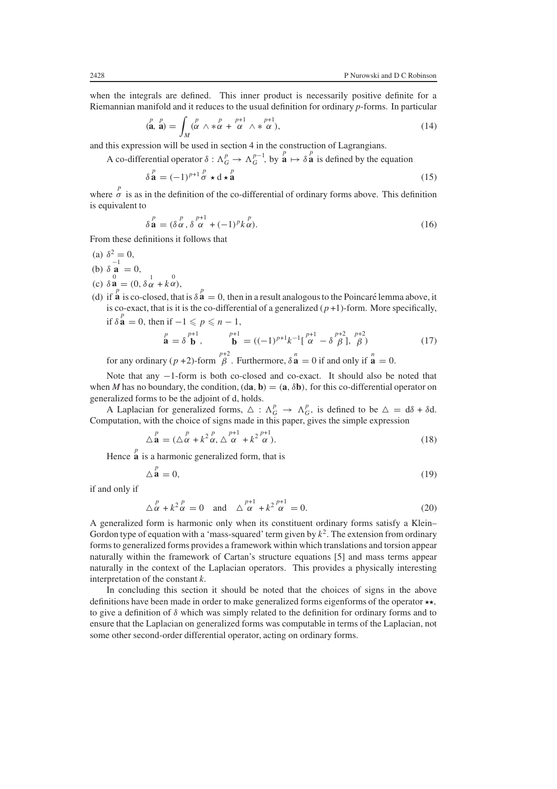<span id="page-3-0"></span>when the integrals are defined. This inner product is necessarily positive definite for a Riemannian manifold and it reduces to the usual definition for ordinary *p*-forms. In particular

$$
\left(\mathbf{a}, \mathbf{a}\right) = \int_M \left(\alpha \wedge \mathbf{a} \alpha + \alpha \wedge \mathbf{a} \alpha\right),\tag{14}
$$

and this expression will be used in section 4 in the construction of Lagrangians.

A co-differential operator  $\delta : \Lambda_G^p \to \Lambda_G^{p-1}$ , by  $\mathbf{a}^p \mapsto \delta \mathbf{a}^p$  is defined by the equation

$$
\delta \stackrel{p}{\mathbf{a}} = (-1)^{p+1} \stackrel{p}{\sigma} \star \mathbf{d} \star \stackrel{p}{\mathbf{a}} \tag{15}
$$

where  $\sigma$  is as in the definition of the co-differential of ordinary forms above. This definition is equivalent to

$$
\delta^{\,p}_{\mathbf{a}} = (\delta^{\,p}_{\alpha\,}, \delta^{\,p+1}_{\alpha} + (-1)^p k^{\,p}_{\alpha}).\tag{16}
$$

From these definitions it follows that

- (a)  $\delta^2 = 0$ , (b)  $\delta \mathbf{a}^{-1} = 0$ ,
- (c)  $\delta \stackrel{0}{\mathbf{a}} = (0, \delta \stackrel{1}{\alpha} + k \stackrel{0}{\alpha}),$
- (d) if  $\mathbf{\hat{a}}$  is co-closed, that is  $\delta \mathbf{\hat{a}} = 0$ , then in a result analogous to the Poincaré lemma above, it is co-exact, that is it is the co-differential of a generalized  $(p+1)$ -form. More specifically, if  $\delta \overset{p}{\mathbf{a}} = 0$ , then if  $-1 \leqslant p \leqslant n - 1$ ,

$$
\stackrel{p}{\mathbf{a}} = \delta \stackrel{p+1}{\mathbf{b}}, \qquad \stackrel{p+1}{\mathbf{b}} = ((-1)^{p+1}k^{-1}[\stackrel{p+1}{\alpha} - \delta \stackrel{p+2}{\beta}], \stackrel{p+2}{\beta})
$$
(17)

for any ordinary  $(p+2)$ -form  $\stackrel{p+2}{\beta}$ . Furthermore,  $\delta \stackrel{n}{\mathbf{a}} = 0$  if and only if  $\stackrel{n}{\mathbf{a}} = 0$ .

Note that any −1-form is both co-closed and co-exact. It should also be noted that when *M* has no boundary, the condition,  $(d\mathbf{a}, \mathbf{b}) = (\mathbf{a}, \delta \mathbf{b})$ , for this co-differential operator on generalized forms to be the adjoint of d, holds.

A Laplacian for generalized forms,  $\Delta : \Lambda_G^p \to \Lambda_G^p$ , is defined to be  $\Delta = d\delta + \delta d$ . Computation, with the choice of signs made in this paper, gives the simple expression

$$
\Delta \stackrel{p}{\mathbf{a}} = (\Delta \stackrel{p}{\alpha} + k^2 \stackrel{p}{\alpha}, \Delta \stackrel{p+1}{\alpha} + k^2 \stackrel{p+1}{\alpha}). \tag{18}
$$

Hence  $\mathbf{\hat{a}}$  is a harmonic generalized form, that is

$$
\Delta \stackrel{p}{\mathbf{a}} = 0,\tag{19}
$$

if and only if

$$
\Delta \stackrel{p}{\alpha} + k^2 \stackrel{p}{\alpha} = 0 \quad \text{and} \quad \Delta \stackrel{p+1}{\alpha} + k^2 \stackrel{p+1}{\alpha} = 0. \tag{20}
$$

A generalized form is harmonic only when its constituent ordinary forms satisfy a Klein– Gordon type of equation with a 'mass-squared' term given by  $k^2$ . The extension from ordinary forms to generalized forms provides a framework within which translations and torsion appear naturally within the framework of Cartan's structure equations [5] and mass terms appear naturally in the context of the Laplacian operators. This provides a physically interesting interpretation of the constant *k*.

In concluding this section it should be noted that the choices of signs in the above definitions have been made in order to make generalized forms eigenforms of the operator  $\star\star$ , to give a definition of  $\delta$  which was simply related to the definition for ordinary forms and to ensure that the Laplacian on generalized forms was computable in terms of the Laplacian, not some other second-order differential operator, acting on ordinary forms.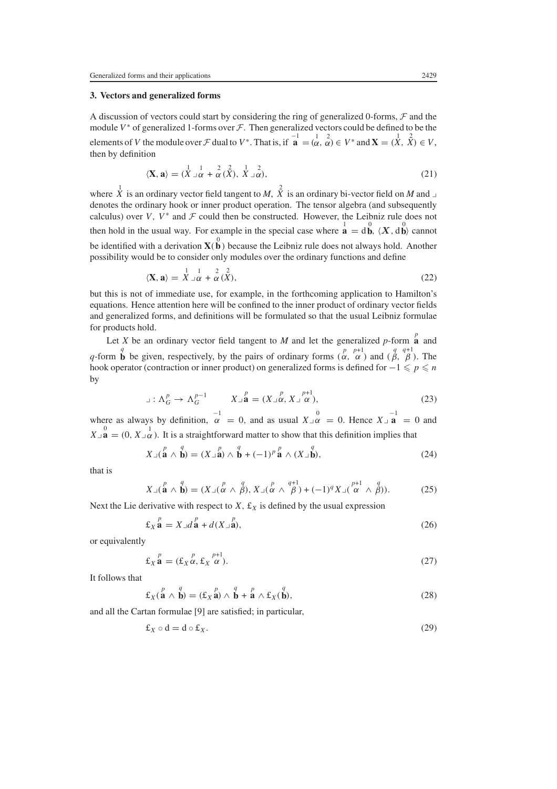## **3. Vectors and generalized forms**

A discussion of vectors could start by considering the ring of generalized 0-forms, *F* and the module  $V^*$  of generalized 1-forms over  $\mathcal F$ . Then generalized vectors could be defined to be the elements of V the module over F dual to V<sup>\*</sup>. That is, if  $\mathbf{a}^{-1} = (\alpha, \alpha)^2 \in V^*$  and  $\mathbf{X} = (\mathbf{X}, \mathbf{X}) \in V$ , then by definition

$$
\langle \mathbf{X}, \mathbf{a} \rangle = \left( \stackrel{1}{X} \stackrel{1}{\lrcorner} \stackrel{1}{\alpha} + \stackrel{2}{\alpha} \stackrel{2}{\lrcorner}, \stackrel{1}{X} \stackrel{2}{\lrcorner} \alpha \right), \tag{21}
$$

where  $\overrightarrow{X}$  is an ordinary vector field tangent to *M*,  $\overrightarrow{X}$  is an ordinary bi-vector field on *M* and  $\overrightarrow{A}$ denotes the ordinary hook or inner product operation. The tensor algebra (and subsequently calculus) over V,  $V^*$  and  $\mathcal F$  could then be constructed. However, the Leibniz rule does not then hold in the usual way. For example in the special case where  $\mathbf{a} = \mathbf{d}\mathbf{b}$ ,  $\langle \mathbf{X}, \mathbf{d}\mathbf{b} \rangle$  cannot be identified with a derivation  $\mathbf{X}(\stackrel{0}{\mathbf{b}})$  because the Leibniz rule does not always hold. Another possibility would be to consider only modules over the ordinary functions and define

$$
\langle \mathbf{X}, \mathbf{a} \rangle = \stackrel{1}{X} \stackrel{1}{\cdot} \mathbf{a} + \stackrel{2}{\alpha} (\stackrel{2}{X}), \tag{22}
$$

but this is not of immediate use, for example, in the forthcoming application to Hamilton's equations. Hence attention here will be confined to the inner product of ordinary vector fields and generalized forms, and definitions will be formulated so that the usual Leibniz formulae for products hold.

Let *X* be an ordinary vector field tangent to *M* and let the generalized *p*-form **a** and *q*-form **b** be given, respectively, by the pairs of ordinary forms  $\begin{pmatrix} p & p+1 \\ \alpha & \alpha \end{pmatrix}$  and  $\begin{pmatrix} q & q+1 \\ \beta & \beta \end{pmatrix}$ . The hook operator (contraction or inner product) on generalized forms is defined for  $-1 \leq p \leq n$ by

$$
\lrcorner: \Lambda_G^p \to \Lambda_G^{p-1} \qquad X \lrcorner^p \mathbf{a} = (X \lrcorner \alpha, X \lrcorner \alpha), \qquad (23)
$$

where as always by definition,  $\alpha = 0$ , and as usual  $X \rvert_{\alpha}^0 = 0$ . Hence  $X \rvert_{\alpha}^0 = 0$  and  $X_{\perp}$ **a** = (0,  $X_{\perp}$  $\alpha$ ). It is a straightforward matter to show that this definition implies that

$$
X \lrcorner (\stackrel{p}{\mathbf{a}} \wedge \stackrel{q}{\mathbf{b}}) = (X \lrcorner \stackrel{p}{\mathbf{a}}) \wedge \stackrel{q}{\mathbf{b}} + (-1)^p \stackrel{p}{\mathbf{a}} \wedge (X \lrcorner \stackrel{q}{\mathbf{b}}), \tag{24}
$$

that is

$$
X \lrcorner (\stackrel{p}{\mathbf{a}} \wedge \stackrel{q}{\mathbf{b}}) = (X \lrcorner (\stackrel{p}{\alpha} \wedge \stackrel{q}{\beta}), X \lrcorner (\stackrel{p}{\alpha} \wedge \stackrel{q+1}{\beta}) + (-1)^q X \lrcorner (\stackrel{p+1}{\alpha} \wedge \stackrel{q}{\beta})).
$$
 (25)

Next the Lie derivative with respect to  $X$ ,  $\pounds_X$  is defined by the usual expression

$$
\pounds_X \stackrel{p}{\mathbf{a}} = X \lrcorner d \stackrel{p}{\mathbf{a}} + d(X \lrcorner \stackrel{p}{\mathbf{a}}),\tag{26}
$$

or equivalently

$$
\pounds_X \stackrel{p}{\mathbf{a}} = (\pounds_X \stackrel{p}{\alpha}, \pounds_X \stackrel{p+1}{\alpha}).
$$
\n(27)

It follows that

$$
\pounds_X(\stackrel{p}{\mathbf{a}} \wedge \stackrel{q}{\mathbf{b}}) = (\pounds_X \stackrel{p}{\mathbf{a}}) \wedge \stackrel{q}{\mathbf{b}} + \stackrel{p}{\mathbf{a}} \wedge \pounds_X(\stackrel{q}{\mathbf{b}}),
$$
\n(28)

and all the Cartan formulae [9] are satisfied; in particular,

$$
\pounds_X \circ d = d \circ \pounds_X. \tag{29}
$$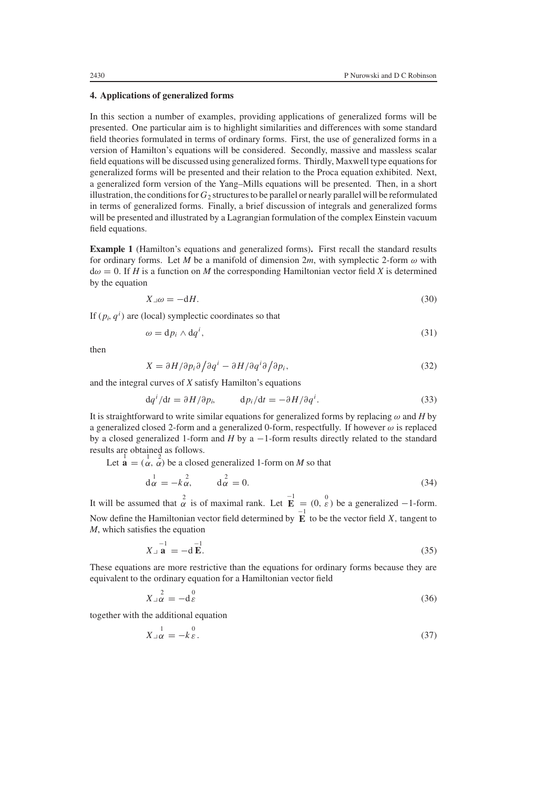#### **4. Applications of generalized forms**

In this section a number of examples, providing applications of generalized forms will be presented. One particular aim is to highlight similarities and differences with some standard field theories formulated in terms of ordinary forms. First, the use of generalized forms in a version of Hamilton's equations will be considered. Secondly, massive and massless scalar field equations will be discussed using generalized forms. Thirdly, Maxwell type equations for generalized forms will be presented and their relation to the Proca equation exhibited. Next, a generalized form version of the Yang–Mills equations will be presented. Then, in a short illustration, the conditions for  $G_2$  structures to be parallel or nearly parallel will be reformulated in terms of generalized forms. Finally, a brief discussion of integrals and generalized forms will be presented and illustrated by a Lagrangian formulation of the complex Einstein vacuum field equations.

**Example 1** (Hamilton's equations and generalized forms)**.** First recall the standard results for ordinary forms. Let *M* be a manifold of dimension 2*m*, with symplectic 2-form  $\omega$  with  $d\omega = 0$ . If *H* is a function on *M* the corresponding Hamiltonian vector field *X* is determined by the equation

$$
X \lrcorner \omega = -\mathrm{d}H. \tag{30}
$$

If  $(p_i, q^i)$  are (local) symplectic coordinates so that

$$
\omega = \mathrm{d}p_i \wedge \mathrm{d}q^i,\tag{31}
$$

then

$$
X = \partial H/\partial p_i \partial \partial \dot{q}^i - \partial H/\partial q^i \partial \partial p_i,
$$
\n(32)

and the integral curves of *X* satisfy Hamilton's equations

$$
\mathrm{d}q^{i}/\mathrm{d}t = \partial H/\partial p_{i}, \qquad \mathrm{d}p_{i}/\mathrm{d}t = -\partial H/\partial q^{i}. \tag{33}
$$

It is straightforward to write similar equations for generalized forms by replacing  $\omega$  and *H* by a generalized closed 2-form and a generalized 0-form, respectfully. If however  $\omega$  is replaced by a closed generalized 1-form and *H* by a −1-form results directly related to the standard results are obtained as follows.

Let  $\mathbf{a} = \begin{pmatrix} 1 & 2 \\ \alpha & \alpha \end{pmatrix}$  be a closed generalized 1-form on *M* so that

$$
\mathrm{d}^{\,1}_{\alpha} = -k \, \alpha^{\,2}, \qquad \mathrm{d}^{\,2}_{\alpha} = 0. \tag{34}
$$

<span id="page-5-1"></span>It will be assumed that  $\alpha^2$  is of maximal rank. Let  $\mathbf{\overline{E}}^1 = (0, \varepsilon)$  be a generalized -1-form. Now define the Hamiltonian vector field determined by  $\overrightarrow{E}$  to be the vector field X, tangent to *M*, which satisfies the equation

$$
X_{\perp} \stackrel{-1}{\mathbf{a}} = -\mathbf{d} \stackrel{-1}{\mathbf{E}}.
$$
 (35)

<span id="page-5-0"></span>These equations are more restrictive than the equations for ordinary forms because they are equivalent to the ordinary equation for a Hamiltonian vector field

$$
X_{\perp}^2 \stackrel{2}{\alpha} = -d_{\mathcal{E}}^0 \tag{36}
$$

<span id="page-5-2"></span>together with the additional equation

$$
X_{\perp \alpha}^1 = -k \mathcal{E}^0. \tag{37}
$$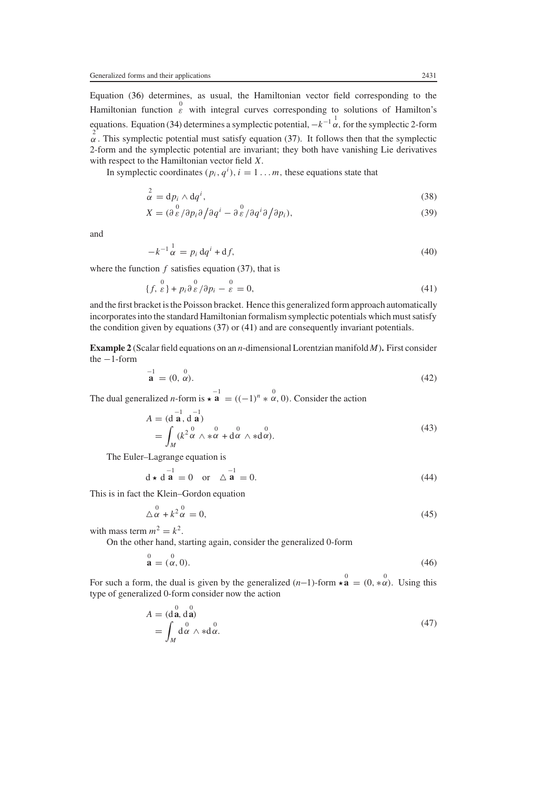Equation [\(36\)](#page-5-0) determines, as usual, the Hamiltonian vector field corresponding to the Hamiltonian function  $\frac{0}{\varepsilon}$  with integral curves corresponding to solutions of Hamilton's equations. Equation [\(34\)](#page-5-1) determines a symplectic potential,  $-k^{-1} \frac{1}{\alpha}$ , for the symplectic 2-form  $\alpha$ . This symplectic potential must satisfy equation [\(37\)](#page-5-2). It follows then that the symplectic 2-form and the symplectic potential are invariant; they both have vanishing Lie derivatives with respect to the Hamiltonian vector field X.

In symplectic coordinates  $(p_i, q^i)$ ,  $i = 1...m$ , these equations state that

$$
\alpha^2 = \mathrm{d} p_i \wedge \mathrm{d} q^i,\tag{38}
$$

$$
X = (\partial \mathop{\varepsilon}^0 / \partial p_i \partial / \partial q^i - \partial \mathop{\varepsilon}^0 / \partial q^i \partial / \partial p_i), \tag{39}
$$

and

$$
-k^{-1}\frac{1}{\alpha} = p_i \,\mathrm{d} q^i + \mathrm{d} f,\tag{40}
$$

<span id="page-6-0"></span>where the function  $f$  satisfies equation [\(37\)](#page-5-2), that is

$$
\{f, \stackrel{0}{\varepsilon}\} + p_i \stackrel{0}{\partial} \stackrel{0}{\varepsilon}/\partial p_i - \stackrel{0}{\varepsilon} = 0,\tag{41}
$$

and the first bracket is the Poisson bracket. Hence this generalized form approach automatically incorporates into the standard Hamiltonian formalism symplectic potentials which must satisfy the condition given by equations [\(37\)](#page-5-2) or [\(41\)](#page-6-0) and are consequently invariant potentials.

**Example 2** (Scalar field equations on an *n*-dimensional Lorentzian manifold *M*)**.** First consider the −1-form

$$
\mathbf{a}^{-1} = (0, \stackrel{0}{\alpha}).\tag{42}
$$

The dual generalized *n*-form is  $\star \hat{\mathbf{a}} = ((-1)^n \ast \alpha, 0)$ . Consider the action

$$
A = (\mathbf{d} \mathbf{a}, \mathbf{d} \mathbf{a})
$$
  
= 
$$
\int_M (k^2 \alpha \wedge * \alpha + \mathbf{d} \alpha \wedge * \mathbf{d} \alpha).
$$
 (43)

The Euler–Lagrange equation is

$$
\mathbf{d} \star \mathbf{d} \mathbf{a} = 0 \quad \text{or} \quad \triangle \mathbf{a} = 0. \tag{44}
$$

This is in fact the Klein–Gordon equation

$$
\triangle^0 \alpha + k^2 \alpha^0 = 0,\tag{45}
$$

with mass term  $m^2 = k^2$ .

On the other hand, starting again, consider the generalized 0-form

$$
\stackrel{0}{\mathbf{a}} = \stackrel{0}{(\alpha, 0)}.
$$
 (46)

For such a form, the dual is given by the generalized  $(n-1)$ -form  $\star \stackrel{0}{\mathbf{a}} = (0, *\alpha)$ . Using this type of generalized 0-form consider now the action

$$
A = (\mathbf{d}\mathbf{a}, \mathbf{d}\mathbf{a})
$$
  
= 
$$
\int_M \mathbf{d}\alpha \wedge \mathbf{d}\alpha.
$$
 (47)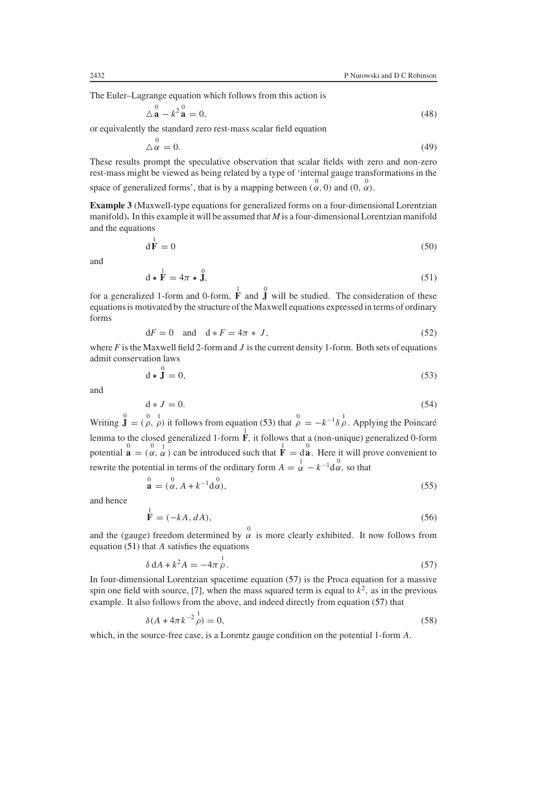The Euler–Lagrange equation which follows from this action is

$$
\Delta \stackrel{0}{\mathbf{a}} - k^2 \stackrel{0}{\mathbf{a}} = 0,\tag{48}
$$

or equivalently the standard zero rest-mass scalar field equation

$$
\triangle^0 \alpha = 0. \tag{49}
$$

These results prompt the speculative observation that scalar fields with zero and non-zero rest-mass might be viewed as being related by a type of 'internal gauge transformations in the space of generalized forms', that is by a mapping between  $(\alpha, 0)$  and  $(0, \alpha)$ .

**Example 3** (Maxwell-type equations for generalized forms on a four-dimensional Lorentzian manifold)**.** In this example it will be assumed that *M* is a four-dimensional Lorentzian manifold and the equations

$$
\mathbf{d}\mathbf{\dot{F}} = 0\tag{50}
$$

<span id="page-7-3"></span>and

$$
\mathbf{d} \star \mathbf{F} = 4\pi \star \mathbf{J},\tag{51}
$$

<span id="page-7-1"></span>for a generalized 1-form and 0-form,  $\overrightarrow{F}$  and  $\overrightarrow{J}$  will be studied. The consideration of these equations is motivated by the structure of the Maxwell equations expressed in terms of ordinary forms

$$
dF = 0 \quad \text{and} \quad d * F = 4\pi * J,\tag{52}
$$

<span id="page-7-0"></span>where  $F$  is the Maxwell field 2-form and  $J$  is the current density 1-form. Both sets of equations admit conservation laws

$$
\mathbf{d} \star \mathbf{\hat{J}} = 0,\tag{53}
$$

and

$$
d * J = 0. \tag{54}
$$

Writing  $\int_{0}^{0} = \int_{0}^{0}$  it follows from equation [\(53\)](#page-7-0) that  $\rho = -k^{-1}\delta\rho$ . Applying the Poincaré lemma to the closed generalized 1-form  $\overline{F}$ , it follows that a (non-unique) generalized 0-form potential  $\mathbf{a} = \begin{pmatrix} 0 & 1 \\ \alpha & \alpha \end{pmatrix}$  can be introduced such that  $\mathbf{F} = d\mathbf{a}$ . Here it will prove convenient to rewrite the potential in terms of the ordinary form  $A = \frac{1}{\alpha} - k^{-1} \frac{0}{\alpha}$ , so that

$$
\stackrel{0}{\mathbf{a}} = \stackrel{0}{(\alpha, A + k^{-1} \mathbf{d} \alpha)},\tag{55}
$$

and hence

$$
\mathbf{\dot{F}} = (-kA, dA),\tag{56}
$$

<span id="page-7-2"></span>and the (gauge) freedom determined by  $\alpha$  is more clearly exhibited. It now follows from equation  $(51)$  that A satisfies the equations

$$
\delta \, \mathrm{d}A + k^2 A = -4\pi \, \rho \,. \tag{57}
$$

In four-dimensional Lorentzian spacetime equation [\(57\)](#page-7-2) is the Proca equation for a massive spin one field with source, [7], when the mass squared term is equal to  $k^2$ , as in the previous example. It also follows from the above, and indeed directly from equation [\(57\)](#page-7-2) that

$$
\delta(A + 4\pi k^{-2} \rho^1) = 0,\tag{58}
$$

which, in the source-free case, is a Lorentz gauge condition on the potential 1-form A.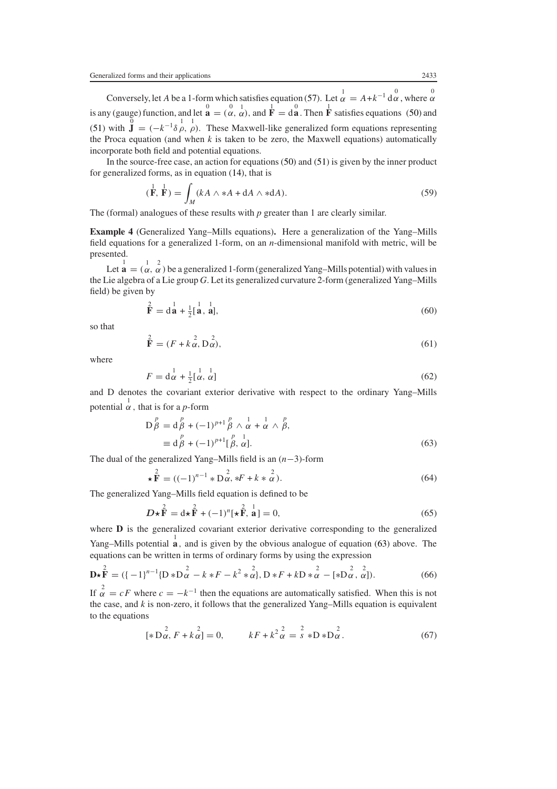Conversely, let A be a 1-form which satisfies equation [\(57\)](#page-7-2). Let  $\alpha = A + k^{-1} \frac{0}{\alpha}$ , where  $\alpha$ is any (gauge) function, and let  $\mathbf{\hat{a}} = (\alpha, \alpha)$ , and  $\mathbf{\hat{F}} = d\mathbf{\hat{a}}$ . Then  $\mathbf{\hat{F}}$  satisfies equations [\(50\)](#page-7-3) and [\(51\)](#page-7-1) with  $\mathbf{\hat{J}} = (-k^{-1}\delta \rho, \rho)$ . These Maxwell-like generalized form equations representing the Proca equation (and when *k* is taken to be zero, the Maxwell equations) automatically incorporate both field and potential equations.

In the source-free case, an action for equations [\(50\)](#page-7-3) and [\(51\)](#page-7-1) is given by the inner product for generalized forms, as in equation [\(14\)](#page-3-0), that is

$$
(\mathbf{\dot{F}}, \mathbf{\dot{F}}) = \int_{M} (kA \wedge *A + dA \wedge *dA). \tag{59}
$$

The (formal) analogues of these results with *p* greater than 1 are clearly similar.

**Example 4** (Generalized Yang–Mills equations)**.** Here a generalization of the Yang–Mills field equations for a generalized 1-form, on an *n*-dimensional manifold with metric, will be presented.

Let  $\mathbf{a} = (\alpha, \alpha)$  be a generalized 1-form (generalized Yang–Mills potential) with values in the Lie algebra of a Lie group *G*. Let its generalized curvature 2-form (generalized Yang–Mills field) be given by

$$
\mathbf{\hat{F}} = \mathbf{d}\mathbf{\hat{a}} + \frac{1}{2} [\mathbf{\hat{a}}, \mathbf{\hat{a}}],\tag{60}
$$

so that

$$
\mathbf{\hat{F}} = (F + k\mathbf{\hat{\alpha}}, \mathbf{D}\mathbf{\hat{\alpha}}),\tag{61}
$$

where

$$
F = \mathbf{d}^{\frac{1}{\alpha}} \mathbf{d} + \frac{1}{2} \left[ \frac{1}{\alpha}, \frac{1}{\alpha} \right] \tag{62}
$$

<span id="page-8-0"></span>and D denotes the covariant exterior derivative with respect to the ordinary Yang–Mills potential  $\frac{1}{\alpha}$ , that is for a *p*-form

$$
D_{\beta}^{p} = d_{\beta}^{p} + (-1)^{p+1} {p \atop \beta} \wedge \frac{1}{\alpha} + \frac{1}{\alpha} \wedge \frac{p}{\beta},
$$
  
\n
$$
\equiv d_{\beta}^{p} + (-1)^{p+1} {p \atop \beta} \frac{1}{\alpha}.
$$
\n(63)

The dual of the generalized Yang–Mills field is an (n−3)-form

$$
\star \stackrel{2}{\mathbf{F}} = ((-1)^{n-1} * D\stackrel{2}{\alpha}, *F + k * \stackrel{2}{\alpha}).
$$
 (64)

The generalized Yang–Mills field equation is defined to be

$$
D\star \mathbf{\hat{F}} = d\star \mathbf{\hat{F}} + (-1)^n [\star \mathbf{\hat{F}}, \mathbf{a}] = 0,
$$
\n(65)

where **D** is the generalized covariant exterior derivative corresponding to the generalized Yang–Mills potential  $\hat{a}$ , and is given by the obvious analogue of equation [\(63\)](#page-8-0) above. The equations can be written in terms of ordinary forms by using the expression

$$
\mathbf{D} \star \mathbf{F}^{2} = (\{-1\}^{n-1} \{ \mathbf{D} \ast \mathbf{D} \frac{2}{\alpha} - k \ast F - k^{2} \ast \frac{2}{\alpha} \}, \mathbf{D} \ast F + k \mathbf{D} \ast \frac{2}{\alpha} - [\ast \mathbf{D} \frac{2}{\alpha}, \frac{2}{\alpha}]).
$$
 (66)

If  $\alpha^2 = cF$  where  $c = -k^{-1}$  then the equations are automatically satisfied. When this is not the case, and *k* is non-zero, it follows that the generalized Yang–Mills equation is equivalent to the equations

$$
[*\,D_{\alpha}^{2}, F + k_{\alpha}^{2}] = 0, \qquad kF + k^{2} \frac{2}{\alpha} = \frac{2}{s} * D * D_{\alpha}^{2}.
$$
 (67)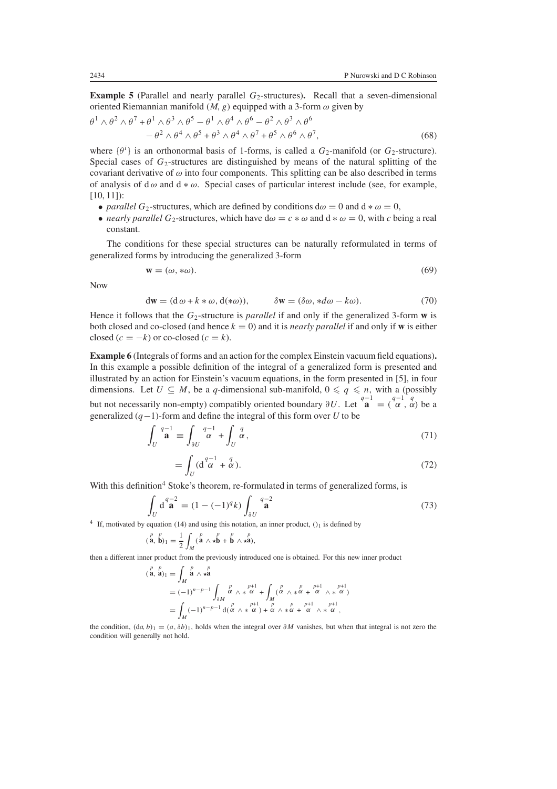**Example 5** (Parallel and nearly parallel  $G_2$ -structures). Recall that a seven-dimensional oriented Riemannian manifold  $(M, g)$  equipped with a 3-form  $\omega$  given by

$$
\theta^{1} \wedge \theta^{2} \wedge \theta^{7} + \theta^{1} \wedge \theta^{3} \wedge \theta^{5} - \theta^{1} \wedge \theta^{4} \wedge \theta^{6} - \theta^{2} \wedge \theta^{3} \wedge \theta^{6}
$$
  

$$
- \theta^{2} \wedge \theta^{4} \wedge \theta^{5} + \theta^{3} \wedge \theta^{4} \wedge \theta^{7} + \theta^{5} \wedge \theta^{6} \wedge \theta^{7},
$$
(68)

where  $\{\theta^i\}$  is an orthonormal basis of 1-forms, is called a  $G_2$ -manifold (or  $G_2$ -structure). Special cases of  $G_2$ -structures are distinguished by means of the natural splitting of the covariant derivative of  $\omega$  into four components. This splitting can be also described in terms of analysis of d $\omega$  and d  $*\omega$ . Special cases of particular interest include (see, for example, [10, 11]):

- *parallel*  $G_2$ -structures, which are defined by conditions  $d\omega = 0$  and  $d * \omega = 0$ ,
- *nearly parallel*  $G_2$ -structures, which have  $d\omega = c * \omega$  and  $d * \omega = 0$ , with *c* being a real constant.

The conditions for these special structures can be naturally reformulated in terms of generalized forms by introducing the generalized 3-form

$$
\mathbf{w} = (\omega, * \omega). \tag{69}
$$

Now

$$
dw = (d\omega + k * \omega, d(*\omega)), \qquad \delta w = (\delta \omega, *d\omega - k\omega). \tag{70}
$$

Hence it follows that the  $G_2$ -structure is *parallel* if and only if the generalized 3-form **w** is both closed and co-closed (and hence  $k = 0$ ) and it is *nearly parallel* if and only if **w** is either closed  $(c = -k)$  or co-closed  $(c = k)$ .

**Example 6** (Integrals of forms and an action for the complex Einstein vacuum field equations)**.** In this example a possible definition of the integral of a generalized form is presented and illustrated by an action for Einstein's vacuum equations, in the form presented in [5], in four dimensions. Let  $U \subseteq M$ , be a *q*-dimensional sub-manifold,  $0 \leq q \leq n$ , with a (possibly but not necessarily non-empty) compatibly oriented boundary  $\partial U$ . Let  $\mathbf{a}^{q-1} = (\alpha, \alpha)$  be a generalized (q−1)-form and define the integral of this form over *U* to be

$$
\int_{U} \mathbf{a}^{q-1} \equiv \int_{\partial U} \mathbf{a}^{q-1} + \int_{U} \mathbf{a}^{q},\tag{71}
$$

$$
=\int_{U}(\mathrm{d}^{\frac{q-1}{\alpha}}+\frac{q}{\alpha}).\tag{72}
$$

With this definition<sup>4</sup> Stoke's theorem, re-formulated in terms of generalized forms, is

$$
\int_{U} \mathbf{d}^{q-2} \mathbf{a} = (1 - (-1)^q k) \int_{\partial U} \mathbf{a}^{q-2} \tag{73}
$$

<sup>4</sup> If, motivated by equation [\(14\)](#page-3-0) and using this notation, an inner product,  $()_1$  is defined by

$$
(\stackrel{p}{\mathbf{a}},\stackrel{p}{\mathbf{b}})_1=\frac{1}{2}\int_M(\stackrel{p}{\mathbf{a}}\wedge\star\stackrel{p}{\mathbf{b}}+\stackrel{p}{\mathbf{b}}\wedge\star\stackrel{p}{\mathbf{a}}),
$$

then a different inner product from the previously introduced one is obtained. For this new inner product

$$
\begin{aligned}\n\binom{p}{\mathbf{a},\mathbf{a}}_1 &= \int_M \stackrel{p}{\mathbf{a}} \wedge \mathbf{x}^{\mathbf{a}}_1 \\
&= (-1)^{n-p-1} \int_M \stackrel{p}{\alpha} \wedge \mathbf{x}^{\mathbf{a}}_1 + \int_M (\stackrel{p}{\alpha} \wedge \mathbf{x}^{\mathbf{a}}_1 + \stackrel{p+1}{\alpha} \wedge \mathbf{x}^{\mathbf{a}}_1) \\
&= \int_M (-1)^{n-p-1} \, \mathrm{d}(\alpha \wedge \mathbf{x}^{\mathbf{a}}_1) + \alpha \wedge \mathbf{x}^{\mathbf{a}}_1 + \alpha \wedge \mathbf{x}^{\mathbf{a}}_1 \\
&= \int_M \mathbf{x}^{\mathbf{a}}_1 + \alpha \wedge \mathbf{x}^{\mathbf{a}}_1 + \alpha \wedge \mathbf{x}^{\mathbf{a}}_1 + \alpha \wedge \mathbf{x}^{\mathbf{a}}_1\n\end{aligned}
$$

the condition,  $(da, b)_1 = (a, \delta b)_1$ , holds when the integral over  $\partial M$  vanishes, but when that integral is not zero the condition will generally not hold.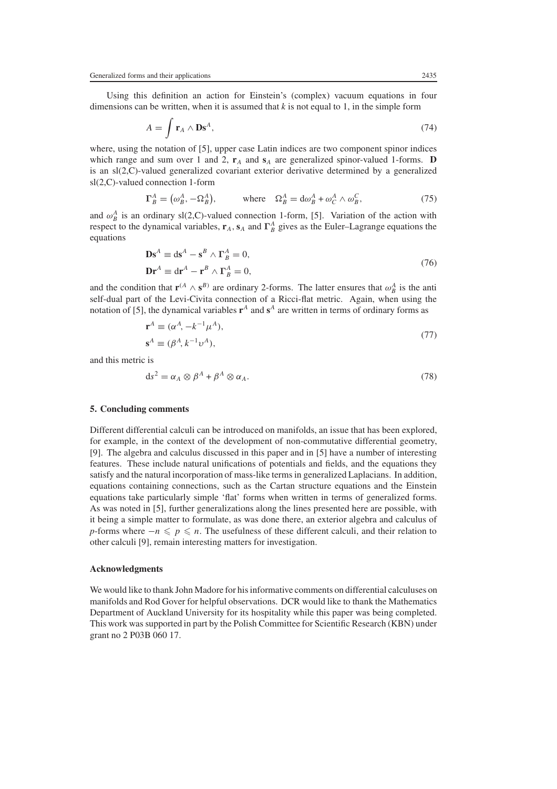Using this definition an action for Einstein's (complex) vacuum equations in four dimensions can be written, when it is assumed that  $k$  is not equal to 1, in the simple form

$$
A = \int \mathbf{r}_A \wedge \mathbf{Ds}^A,\tag{74}
$$

where, using the notation of [5], upper case Latin indices are two component spinor indices which range and sum over 1 and 2,  $\mathbf{r}_A$  and  $\mathbf{s}_A$  are generalized spinor-valued 1-forms. **D** is an sl(2,C)-valued generalized covariant exterior derivative determined by a generalized sl(2,C)-valued connection 1-form

$$
\Gamma_B^A = (\omega_B^A, -\Omega_B^A), \qquad \text{where} \quad \Omega_B^A = d\omega_B^A + \omega_C^A \wedge \omega_B^C, \tag{75}
$$

and  $\omega_B^A$  is an ordinary sl(2,C)-valued connection 1-form, [5]. Variation of the action with respect to the dynamical variables,  $\mathbf{r}_A$ ,  $\mathbf{s}_A$  and  $\Gamma_B^A$  gives as the Euler–Lagrange equations the equations

$$
\mathbf{D}\mathbf{s}^{A} \equiv \mathrm{d}\mathbf{s}^{A} - \mathbf{s}^{B} \wedge \mathbf{\Gamma}_{B}^{A} = 0,
$$
  

$$
\mathbf{D}\mathbf{r}^{A} \equiv \mathrm{d}\mathbf{r}^{A} - \mathbf{r}^{B} \wedge \mathbf{\Gamma}_{B}^{A} = 0,
$$
 (76)

and the condition that  $\mathbf{r}^{(A} \wedge \mathbf{s}^{B)}$  are ordinary 2-forms. The latter ensures that  $\omega_B^A$  is the anti self-dual part of the Levi-Civita connection of a Ricci-flat metric. Again, when using the notation of [5], the dynamical variables  $\mathbf{r}^A$  and  $\mathbf{s}^A$  are written in terms of ordinary forms as

$$
\mathbf{r}^A \equiv (\alpha^A, -k^{-1}\mu^A),
$$
  
\n
$$
\mathbf{s}^A \equiv (\beta^A, k^{-1}\nu^A),
$$
\n(77)

and this metric is

$$
ds^2 = \alpha_A \otimes \beta^A + \beta^A \otimes \alpha_A. \tag{78}
$$

#### **5. Concluding comments**

Different differential calculi can be introduced on manifolds, an issue that has been explored, for example, in the context of the development of non-commutative differential geometry, [9]. The algebra and calculus discussed in this paper and in [5] have a number of interesting features. These include natural unifications of potentials and fields, and the equations they satisfy and the natural incorporation of mass-like terms in generalized Laplacians. In addition, equations containing connections, such as the Cartan structure equations and the Einstein equations take particularly simple 'flat' forms when written in terms of generalized forms. As was noted in [5], further generalizations along the lines presented here are possible, with it being a simple matter to formulate, as was done there, an exterior algebra and calculus of *p*-forms where  $-n \leq p \leq n$ . The usefulness of these different calculi, and their relation to other calculi [9], remain interesting matters for investigation.

#### **Acknowledgments**

We would like to thank John Madore for his informative comments on differential calculuses on manifolds and Rod Gover for helpful observations. DCR would like to thank the Mathematics Department of Auckland University for its hospitality while this paper was being completed. This work was supported in part by the Polish Committee for Scientific Research (KBN) under grant no 2 P03B 060 17.